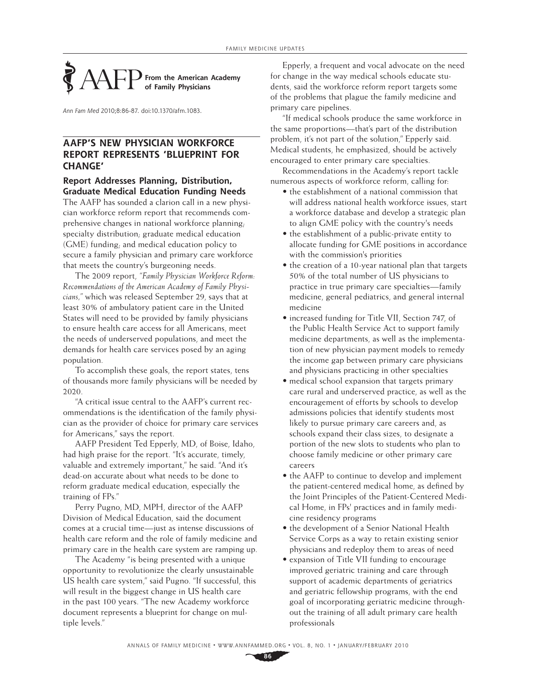## **From the American Academy of Family Physicians**

Ann Fam Med 2010;8:86-87. doi:10.1370/afm.1083.

## **AAFP'S NEW PHYSICIAN WORKFORCE REPORT REPRESENTS 'BLUEPRINT FOR CHANGE'**

## **Report Addresses Planning, Distribution, Graduate Medical Education Funding Needs**

The AAFP has sounded a clarion call in a new physician workforce reform report that recommends comprehensive changes in national workforce planning; specialty distribution; graduate medical education (GME) funding; and medical education policy to secure a family physician and primary care workforce that meets the country's burgeoning needs.

The 2009 report, *"Family Physician Workforce Reform: Recommendations of the American Academy of Family Physicians,"* which was released September 29, says that at least 30% of ambulatory patient care in the United States will need to be provided by family physicians to ensure health care access for all Americans, meet the needs of underserved populations, and meet the demands for health care services posed by an aging population.

To accomplish these goals, the report states, tens of thousands more family physicians will be needed by 2020.

"A critical issue central to the AAFP's current recommendations is the identification of the family physician as the provider of choice for primary care services for Americans," says the report.

AAFP President Ted Epperly, MD, of Boise, Idaho, had high praise for the report. "It's accurate, timely, valuable and extremely important," he said. "And it's dead-on accurate about what needs to be done to reform graduate medical education, especially the training of FPs."

Perry Pugno, MD, MPH, director of the AAFP Division of Medical Education, said the document comes at a crucial time—just as intense discussions of health care reform and the role of family medicine and primary care in the health care system are ramping up.

The Academy "is being presented with a unique opportunity to revolutionize the clearly unsustainable US health care system," said Pugno. "If successful, this will result in the biggest change in US health care in the past 100 years. "The new Academy workforce document represents a blueprint for change on multiple levels."

Epperly, a frequent and vocal advocate on the need for change in the way medical schools educate students, said the workforce reform report targets some of the problems that plague the family medicine and primary care pipelines.

"If medical schools produce the same workforce in the same proportions—that's part of the distribution problem, it's not part of the solution," Epperly said. Medical students, he emphasized, should be actively encouraged to enter primary care specialties.

Recommendations in the Academy's report tackle numerous aspects of workforce reform, calling for:

- the establishment of a national commission that will address national health workforce issues, start a workforce database and develop a strategic plan to align GME policy with the country's needs
- the establishment of a public-private entity to allocate funding for GME positions in accordance with the commission's priorities
- the creation of a 10-year national plan that targets 50% of the total number of US physicians to practice in true primary care specialties—family medicine, general pediatrics, and general internal medicine
- increased funding for Title VII, Section 747, of the Public Health Service Act to support family medicine departments, as well as the implementation of new physician payment models to remedy the income gap between primary care physicians and physicians practicing in other specialties
- medical school expansion that targets primary care rural and underserved practice, as well as the encouragement of efforts by schools to develop admissions policies that identify students most likely to pursue primary care careers and, as schools expand their class sizes, to designate a portion of the new slots to students who plan to choose family medicine or other primary care careers
- the AAFP to continue to develop and implement the patient-centered medical home, as defined by the Joint Principles of the Patient-Centered Medical Home, in FPs' practices and in family medicine residency programs
- the development of a Senior National Health Service Corps as a way to retain existing senior physicians and redeploy them to areas of need
- expansion of Title VII funding to encourage improved geriatric training and care through support of academic departments of geriatrics and geriatric fellowship programs, with the end goal of incorporating geriatric medicine throughout the training of all adult primary care health professionals

**86**